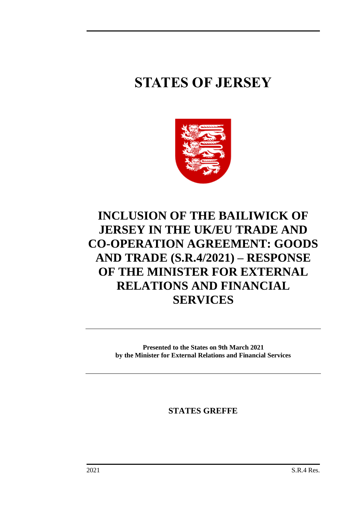# **STATES OF JERSEY**



## **INCLUSION OF THE BAILIWICK OF JERSEY IN THE UK/EU TRADE AND CO-OPERATION AGREEMENT: GOODS AND TRADE (S.R.4/2021) – RESPONSE OF THE MINISTER FOR EXTERNAL RELATIONS AND FINANCIAL SERVICES**

**Presented to the States on 9th March 2021 by the Minister for External Relations and Financial Services**

**STATES GREFFE**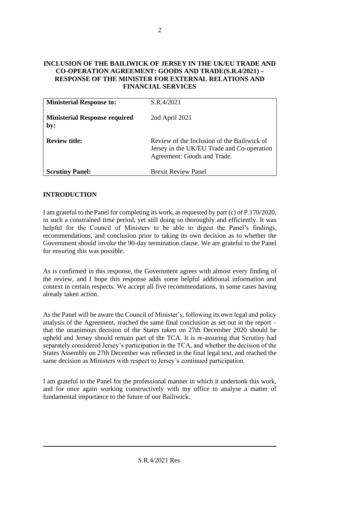#### **INCLUSION OF THE BAILIWICK OF JERSEY IN THE UK/EU TRADE AND CO-OPERATION AGREEMENT: GOODS AND TRADE(S.R.4/2021) – RESPONSE OF THE MINISTER FOR EXTERNAL RELATIONS AND FINANCIAL SERVICES**

| <b>Ministerial Response to:</b>             | S.R.4/2021                                                                                                               |
|---------------------------------------------|--------------------------------------------------------------------------------------------------------------------------|
| <b>Ministerial Response required</b><br>by: | 2nd April 2021                                                                                                           |
| <b>Review title:</b>                        | Review of the Inclusion of the Bailiwick of<br>Jersey in the UK/EU Trade and Co-operation<br>Agreement: Goods and Trade. |
| <b>Scrutiny Panel:</b>                      | <b>Brexit Review Panel</b>                                                                                               |

#### **INTRODUCTION**

I am grateful to the Panel for completing its work, as requested by part (c) of P.170/2020, in such a constrained time period, yet still doing so thoroughly and efficiently. It was helpful for the Council of Ministers to be able to digest the Panel's findings, recommendations, and conclusion prior to taking its own decision as to whether the Government should invoke the 90-day termination clause. We are grateful to the Panel for ensuring this was possible.

As is confirmed in this response, the Government agrees with almost every finding of the review, and I hope this response adds some helpful additional information and context in certain respects. We accept all five recommendations, in some cases having already taken action.

As the Panel will be aware the Council of Minister's, following its own legal and policy analysis of the Agreement, reached the same final conclusion as set out in the report – that the unanimous decision of the States taken on 27th December 2020 should be upheld and Jersey should remain part of the TCA. It is re-assuring that Scrutiny had separately considered Jersey's participation in the TCA, and whether the decision of the States Assembly on 27th December was reflected in the final legal text, and reached the same decision as Ministers with respect to Jersey's continued participation.

I am grateful to the Panel for the professional manner in which it undertook this work, and for once again working constructively with my office to analyse a matter of fundamental importance to the future of our Bailiwick.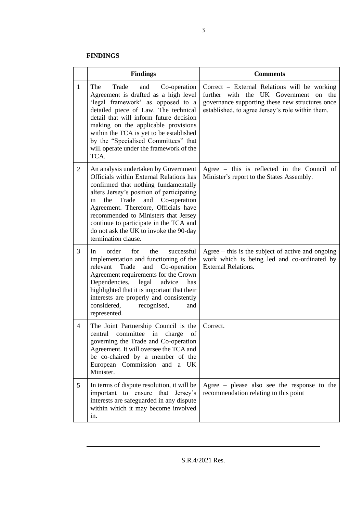#### **FINDINGS**

|                | <b>Findings</b>                                                                                                                                                                                                                                                                                                                                                                                              | <b>Comments</b>                                                                                                                                                                              |  |  |
|----------------|--------------------------------------------------------------------------------------------------------------------------------------------------------------------------------------------------------------------------------------------------------------------------------------------------------------------------------------------------------------------------------------------------------------|----------------------------------------------------------------------------------------------------------------------------------------------------------------------------------------------|--|--|
| $\mathbf{1}$   | The<br>Trade<br>and<br>Co-operation<br>Agreement is drafted as a high level<br>'legal framework' as opposed to a<br>detailed piece of Law. The technical<br>detail that will inform future decision<br>making on the applicable provisions<br>within the TCA is yet to be established<br>by the "Specialised Committees" that<br>will operate under the framework of the<br>TCA.                             | Correct – External Relations will be working<br>further with the UK Government on the<br>governance supporting these new structures once<br>established, to agree Jersey's role within them. |  |  |
| $\overline{2}$ | An analysis undertaken by Government<br>Officials within External Relations has<br>confirmed that nothing fundamentally<br>alters Jersey's position of participating<br>Trade<br>Co-operation<br>the<br>and<br>in<br>Agreement. Therefore, Officials have<br>recommended to Ministers that Jersey<br>continue to participate in the TCA and<br>do not ask the UK to invoke the 90-day<br>termination clause. | Agree - this is reflected in the Council of<br>Minister's report to the States Assembly.                                                                                                     |  |  |
| 3              | order<br>for<br>the<br>successful<br>In.<br>implementation and functioning of the<br>relevant<br>Trade<br>and<br>Co-operation<br>Agreement requirements for the Crown<br>Dependencies,<br>legal<br>advice<br>has<br>highlighted that it is important that their<br>interests are properly and consistently<br>considered,<br>recognised,<br>and<br>represented.                                              | Agree $-$ this is the subject of active and ongoing<br>work which is being led and co-ordinated by<br><b>External Relations.</b>                                                             |  |  |
| $\overline{4}$ | The Joint Partnership Council is the<br>central committee<br>in<br>charge<br>of<br>governing the Trade and Co-operation<br>Agreement. It will oversee the TCA and<br>be co-chaired by a member of the<br>European Commission and a UK<br>Minister.                                                                                                                                                           | Correct.                                                                                                                                                                                     |  |  |
| 5 <sup>5</sup> | In terms of dispute resolution, it will be<br>important to ensure<br>that<br>Jersey's<br>interests are safeguarded in any dispute<br>within which it may become involved<br>in.                                                                                                                                                                                                                              | Agree – please also see the response to the<br>recommendation relating to this point                                                                                                         |  |  |

S.R.4/2021 Res.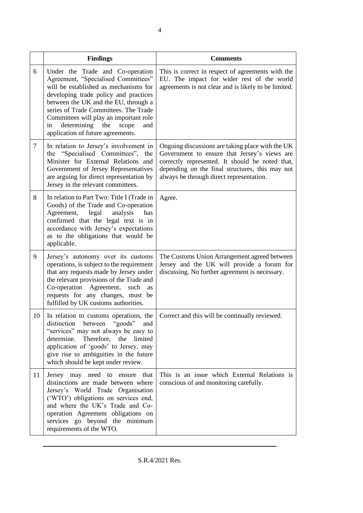|    | <b>Findings</b>                                                                                                                                                                                                                                                                                                                                                       | <b>Comments</b>                                                                                                                                                                                                                                    |  |  |
|----|-----------------------------------------------------------------------------------------------------------------------------------------------------------------------------------------------------------------------------------------------------------------------------------------------------------------------------------------------------------------------|----------------------------------------------------------------------------------------------------------------------------------------------------------------------------------------------------------------------------------------------------|--|--|
| 6  | Under the Trade and Co-operation<br>Agreement, "Specialised Committees"<br>will be established as mechanisms for<br>developing trade policy and practices<br>between the UK and the EU, through a<br>series of Trade Committees. The Trade<br>Committees will play an important role<br>determining<br>in<br>the<br>scope<br>and<br>application of future agreements. | This is correct in respect of agreements with the<br>EU. The impact for wider rest of the world<br>agreements is not clear and is likely to be limited.                                                                                            |  |  |
| 7  | In relation to Jersey's involvement in<br>the "Specialised Committees",<br>the<br>Minister for External Relations and<br>Government of Jersey Representatives<br>are arguing for direct representation by<br>Jersey in the relevant committees.                                                                                                                       | Ongoing discussions are taking place with the UK<br>Government to ensure that Jersey's views are<br>correctly represented. It should be noted that,<br>depending on the final structures, this may not<br>always be through direct representation. |  |  |
| 8  | In relation to Part Two: Title I (Trade in<br>Goods) of the Trade and Co-operation<br>Agreement,<br>legal<br>analysis<br>has<br>confirmed that the legal text is in<br>accordance with Jersey's expectations<br>as to the obligations that would be<br>applicable.                                                                                                    | Agree.                                                                                                                                                                                                                                             |  |  |
| 9  | Jersey's autonomy over its customs<br>operations, is subject to the requirement<br>that any requests made by Jersey under<br>the relevant provisions of the Trade and<br>Co-operation Agreement,<br>such<br>as<br>requests for any changes, must be<br>fulfilled by UK customs authorities.                                                                           | The Customs Union Arrangement agreed between<br>Jersey and the UK will provide a forum for<br>discussing. No further agreement is necessary.                                                                                                       |  |  |
| 10 | In relation to customs operations, the<br>distinction between "goods" and<br>"services" may not always be easy to<br>determine.<br>Therefore, the<br>limited<br>application of 'goods' to Jersey, may<br>give rise to ambiguities in the future<br>which should be kept under review.                                                                                 | Correct and this will be continually reviewed.                                                                                                                                                                                                     |  |  |
| 11 | Jersey may need to ensure<br>that<br>distinctions are made between where<br>Jersey's World Trade Organisation<br>('WTO') obligations on services end,<br>and where the UK's Trade and Co-<br>operation Agreement obligations on<br>services go beyond the minimum<br>requirements of the WTO.                                                                         | This is an issue which External Relations is<br>conscious of and monitoring carefully.                                                                                                                                                             |  |  |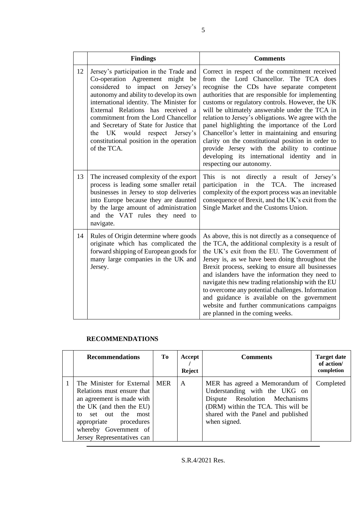|    | <b>Findings</b>                                                                                                                                                                                                                                                                                                                                                                                                                      | <b>Comments</b>                                                                                                                                                                                                                                                                                                                                                                                                                                                                                                                                                                                                                            |  |  |
|----|--------------------------------------------------------------------------------------------------------------------------------------------------------------------------------------------------------------------------------------------------------------------------------------------------------------------------------------------------------------------------------------------------------------------------------------|--------------------------------------------------------------------------------------------------------------------------------------------------------------------------------------------------------------------------------------------------------------------------------------------------------------------------------------------------------------------------------------------------------------------------------------------------------------------------------------------------------------------------------------------------------------------------------------------------------------------------------------------|--|--|
| 12 | Jersey's participation in the Trade and<br>Co-operation Agreement might be<br>considered to impact on Jersey's<br>autonomy and ability to develop its own<br>international identity. The Minister for<br>External Relations has received a<br>commitment from the Lord Chancellor<br>and Secretary of State for Justice that<br>would<br>respect<br>the<br>UK<br>Jersey's<br>constitutional position in the operation<br>of the TCA. | Correct in respect of the commitment received<br>from the Lord Chancellor. The TCA does<br>recognise the CDs have separate competent<br>authorities that are responsible for implementing<br>customs or regulatory controls. However, the UK<br>will be ultimately answerable under the TCA in<br>relation to Jersey's obligations. We agree with the<br>panel highlighting the importance of the Lord<br>Chancellor's letter in maintaining and ensuring<br>clarity on the constitutional position in order to<br>provide Jersey with the ability to continue<br>developing its international identity and in<br>respecting our autonomy. |  |  |
| 13 | The increased complexity of the export<br>process is leading some smaller retail<br>businesses in Jersey to stop deliveries<br>into Europe because they are daunted<br>by the large amount of administration<br>and the VAT rules they need to<br>navigate.                                                                                                                                                                          | This is not directly a result of Jersey's<br>participation in the<br>TCA.<br>The<br>increased<br>complexity of the export process was an inevitable<br>consequence of Brexit, and the UK's exit from the<br>Single Market and the Customs Union.                                                                                                                                                                                                                                                                                                                                                                                           |  |  |
| 14 | Rules of Origin determine where goods<br>originate which has complicated the<br>forward shipping of European goods for<br>many large companies in the UK and<br>Jersey.                                                                                                                                                                                                                                                              | As above, this is not directly as a consequence of<br>the TCA, the additional complexity is a result of<br>the UK's exit from the EU. The Government of<br>Jersey is, as we have been doing throughout the<br>Brexit process, seeking to ensure all businesses<br>and islanders have the information they need to<br>navigate this new trading relationship with the EU<br>to overcome any potential challenges. Information<br>and guidance is available on the government<br>website and further communications campaigns<br>are planned in the coming weeks.                                                                            |  |  |

### **RECOMMENDATIONS**

| <b>Recommendations</b>                                                                                                                                                                                                            | To | Accept<br>Reject | <b>Comments</b>                                                                                                                                                                               | <b>Target date</b><br>of action/<br>completion |
|-----------------------------------------------------------------------------------------------------------------------------------------------------------------------------------------------------------------------------------|----|------------------|-----------------------------------------------------------------------------------------------------------------------------------------------------------------------------------------------|------------------------------------------------|
| The Minister for External   MER<br>Relations must ensure that<br>an agreement is made with<br>the UK (and then the EU)<br>set out the most<br>to<br>appropriate procedures<br>whereby Government of<br>Jersey Representatives can |    | A                | MER has agreed a Memorandum of<br>Understanding with the UKG on<br>Dispute Resolution Mechanisms<br>(DRM) within the TCA. This will be<br>shared with the Panel and published<br>when signed. | Completed                                      |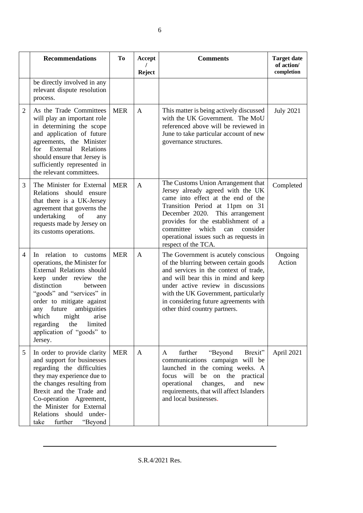|                | <b>Recommendations</b>                                                                                                                                                                                                                                                                                                    | <b>To</b>  | Accept        | <b>Comments</b>                                                                                                                                                                                                                                                                                                                      | <b>Target date</b><br>of action/ |
|----------------|---------------------------------------------------------------------------------------------------------------------------------------------------------------------------------------------------------------------------------------------------------------------------------------------------------------------------|------------|---------------|--------------------------------------------------------------------------------------------------------------------------------------------------------------------------------------------------------------------------------------------------------------------------------------------------------------------------------------|----------------------------------|
|                | be directly involved in any<br>relevant dispute resolution<br>process.                                                                                                                                                                                                                                                    |            | <b>Reject</b> |                                                                                                                                                                                                                                                                                                                                      | completion                       |
| $\overline{2}$ | As the Trade Committees<br>will play an important role<br>in determining the scope<br>and application of future<br>agreements, the Minister<br>for External Relations<br>should ensure that Jersey is<br>sufficiently represented in<br>the relevant committees.                                                          | <b>MER</b> | A             | This matter is being actively discussed<br>with the UK Government. The MoU<br>referenced above will be reviewed in<br>June to take particular account of new<br>governance structures.                                                                                                                                               | <b>July 2021</b>                 |
| 3              | The Minister for External<br>Relations should ensure<br>that there is a UK-Jersey<br>agreement that governs the<br>undertaking<br>of<br>any<br>requests made by Jersey on<br>its customs operations.                                                                                                                      | <b>MER</b> | $\mathsf{A}$  | The Customs Union Arrangement that<br>Jersey already agreed with the UK<br>came into effect at the end of the<br>Transition Period at 11pm on 31<br>December 2020. This arrangement<br>provides for the establishment of a<br>committee<br>which<br>consider<br>can<br>operational issues such as requests in<br>respect of the TCA. | Completed                        |
| 4              | In relation to customs<br>operations, the Minister for<br>External Relations should<br>keep under review the<br>distinction<br>between<br>"goods" and "services" in<br>order to mitigate against<br>any future<br>ambiguities<br>which<br>might<br>arise<br>regarding the limited<br>application of "goods" to<br>Jersey. | <b>MER</b> | A             | The Government is acutely conscious<br>of the blurring between certain goods<br>and services in the context of trade,<br>and will bear this in mind and keep<br>under active review in discussions<br>with the UK Government, particularly<br>in considering future agreements with<br>other third country partners.                 | Ongoing<br>Action                |
| 5              | In order to provide clarity<br>and support for businesses<br>regarding the difficulties<br>they may experience due to<br>the changes resulting from<br>Brexit and the Trade and<br>Co-operation Agreement,<br>the Minister for External<br>Relations should under-<br>further<br>"Beyond<br>take                          | <b>MER</b> | A             | further<br>"Beyond<br>Brexit"<br>A<br>communications campaign will be<br>launched in the coming weeks. A<br>focus<br>will<br>on the practical<br>be<br>operational<br>changes,<br>and<br>new<br>requirements, that will affect Islanders<br>and local businesses.                                                                    | April 2021                       |